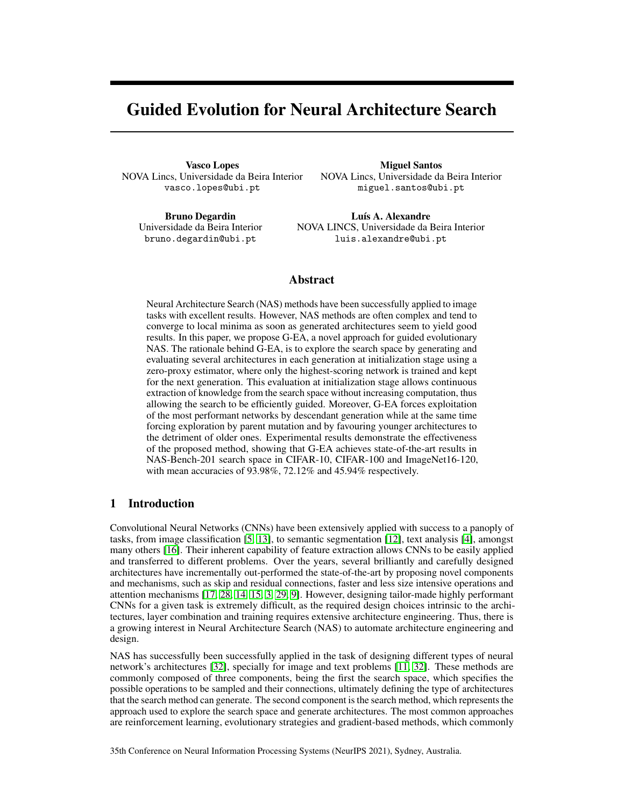# Guided Evolution for Neural Architecture Search

Vasco Lopes NOVA Lincs, Universidade da Beira Interior vasco.lopes@ubi.pt

Miguel Santos NOVA Lincs, Universidade da Beira Interior miguel.santos@ubi.pt

Bruno Degardin Universidade da Beira Interior bruno.degardin@ubi.pt

Luís A. Alexandre NOVA LINCS, Universidade da Beira Interior luis.alexandre@ubi.pt

# Abstract

Neural Architecture Search (NAS) methods have been successfully applied to image tasks with excellent results. However, NAS methods are often complex and tend to converge to local minima as soon as generated architectures seem to yield good results. In this paper, we propose G-EA, a novel approach for guided evolutionary NAS. The rationale behind G-EA, is to explore the search space by generating and evaluating several architectures in each generation at initialization stage using a zero-proxy estimator, where only the highest-scoring network is trained and kept for the next generation. This evaluation at initialization stage allows continuous extraction of knowledge from the search space without increasing computation, thus allowing the search to be efficiently guided. Moreover, G-EA forces exploitation of the most performant networks by descendant generation while at the same time forcing exploration by parent mutation and by favouring younger architectures to the detriment of older ones. Experimental results demonstrate the effectiveness of the proposed method, showing that G-EA achieves state-of-the-art results in NAS-Bench-201 search space in CIFAR-10, CIFAR-100 and ImageNet16-120, with mean accuracies of 93.98%, 72.12% and 45.94% respectively.

# 1 Introduction

Convolutional Neural Networks (CNNs) have been extensively applied with success to a panoply of tasks, from image classification [\[5,](#page-7-0) [13\]](#page-7-1), to semantic segmentation [\[12\]](#page-7-2), text analysis [\[4\]](#page-7-3), amongst many others [\[16\]](#page-7-4). Their inherent capability of feature extraction allows CNNs to be easily applied and transferred to different problems. Over the years, several brilliantly and carefully designed architectures have incrementally out-performed the state-of-the-art by proposing novel components and mechanisms, such as skip and residual connections, faster and less size intensive operations and attention mechanisms [\[17,](#page-7-5) [28,](#page-8-0) [14,](#page-7-6) [15,](#page-7-7) [3,](#page-7-8) [29,](#page-8-1) [9\]](#page-7-9). However, designing tailor-made highly performant CNNs for a given task is extremely difficult, as the required design choices intrinsic to the architectures, layer combination and training requires extensive architecture engineering. Thus, there is a growing interest in Neural Architecture Search (NAS) to automate architecture engineering and design.

NAS has successfully been successfully applied in the task of designing different types of neural network's architectures [\[32\]](#page-8-2), specially for image and text problems [\[11,](#page-7-10) [32\]](#page-8-2). These methods are commonly composed of three components, being the first the search space, which specifies the possible operations to be sampled and their connections, ultimately defining the type of architectures that the search method can generate. The second component is the search method, which represents the approach used to explore the search space and generate architectures. The most common approaches are reinforcement learning, evolutionary strategies and gradient-based methods, which commonly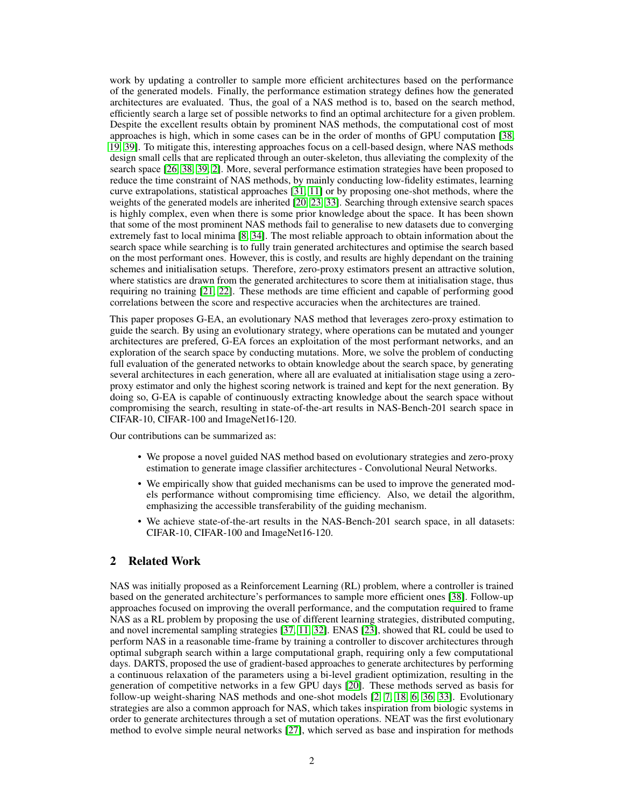work by updating a controller to sample more efficient architectures based on the performance of the generated models. Finally, the performance estimation strategy defines how the generated architectures are evaluated. Thus, the goal of a NAS method is to, based on the search method, efficiently search a large set of possible networks to find an optimal architecture for a given problem. Despite the excellent results obtain by prominent NAS methods, the computational cost of most approaches is high, which in some cases can be in the order of months of GPU computation [\[38,](#page-8-3) [19,](#page-7-11) [39\]](#page-8-4). To mitigate this, interesting approaches focus on a cell-based design, where NAS methods design small cells that are replicated through an outer-skeleton, thus alleviating the complexity of the search space [\[26,](#page-8-5) [38,](#page-8-3) [39,](#page-8-4) [2\]](#page-7-12). More, several performance estimation strategies have been proposed to reduce the time constraint of NAS methods, by mainly conducting low-fidelity estimates, learning curve extrapolations, statistical approaches [\[31,](#page-8-6) [11\]](#page-7-10) or by proposing one-shot methods, where the weights of the generated models are inherited [\[20,](#page-7-13) [23,](#page-7-14) [33\]](#page-8-7). Searching through extensive search spaces is highly complex, even when there is some prior knowledge about the space. It has been shown that some of the most prominent NAS methods fail to generalise to new datasets due to converging extremely fast to local minima [\[8,](#page-7-15) [34\]](#page-8-8). The most reliable approach to obtain information about the search space while searching is to fully train generated architectures and optimise the search based on the most performant ones. However, this is costly, and results are highly dependant on the training schemes and initialisation setups. Therefore, zero-proxy estimators present an attractive solution, where statistics are drawn from the generated architectures to score them at initialisation stage, thus requiring no training [\[21,](#page-7-16) [22\]](#page-7-17). These methods are time efficient and capable of performing good correlations between the score and respective accuracies when the architectures are trained.

This paper proposes G-EA, an evolutionary NAS method that leverages zero-proxy estimation to guide the search. By using an evolutionary strategy, where operations can be mutated and younger architectures are prefered, G-EA forces an exploitation of the most performant networks, and an exploration of the search space by conducting mutations. More, we solve the problem of conducting full evaluation of the generated networks to obtain knowledge about the search space, by generating several architectures in each generation, where all are evaluated at initialisation stage using a zeroproxy estimator and only the highest scoring network is trained and kept for the next generation. By doing so, G-EA is capable of continuously extracting knowledge about the search space without compromising the search, resulting in state-of-the-art results in NAS-Bench-201 search space in CIFAR-10, CIFAR-100 and ImageNet16-120.

Our contributions can be summarized as:

- We propose a novel guided NAS method based on evolutionary strategies and zero-proxy estimation to generate image classifier architectures - Convolutional Neural Networks.
- We empirically show that guided mechanisms can be used to improve the generated models performance without compromising time efficiency. Also, we detail the algorithm, emphasizing the accessible transferability of the guiding mechanism.
- We achieve state-of-the-art results in the NAS-Bench-201 search space, in all datasets: CIFAR-10, CIFAR-100 and ImageNet16-120.

# 2 Related Work

NAS was initially proposed as a Reinforcement Learning (RL) problem, where a controller is trained based on the generated architecture's performances to sample more efficient ones [\[38\]](#page-8-3). Follow-up approaches focused on improving the overall performance, and the computation required to frame NAS as a RL problem by proposing the use of different learning strategies, distributed computing, and novel incremental sampling strategies [\[37,](#page-8-9) [11,](#page-7-10) [32\]](#page-8-2). ENAS [\[23\]](#page-7-14), showed that RL could be used to perform NAS in a reasonable time-frame by training a controller to discover architectures through optimal subgraph search within a large computational graph, requiring only a few computational days. DARTS, proposed the use of gradient-based approaches to generate architectures by performing a continuous relaxation of the parameters using a bi-level gradient optimization, resulting in the generation of competitive networks in a few GPU days [\[20\]](#page-7-13). These methods served as basis for follow-up weight-sharing NAS methods and one-shot models [\[2,](#page-7-12) [7,](#page-7-18) [18,](#page-7-19) [6,](#page-7-20) [36,](#page-8-10) [33\]](#page-8-7). Evolutionary strategies are also a common approach for NAS, which takes inspiration from biologic systems in order to generate architectures through a set of mutation operations. NEAT was the first evolutionary method to evolve simple neural networks [\[27\]](#page-8-11), which served as base and inspiration for methods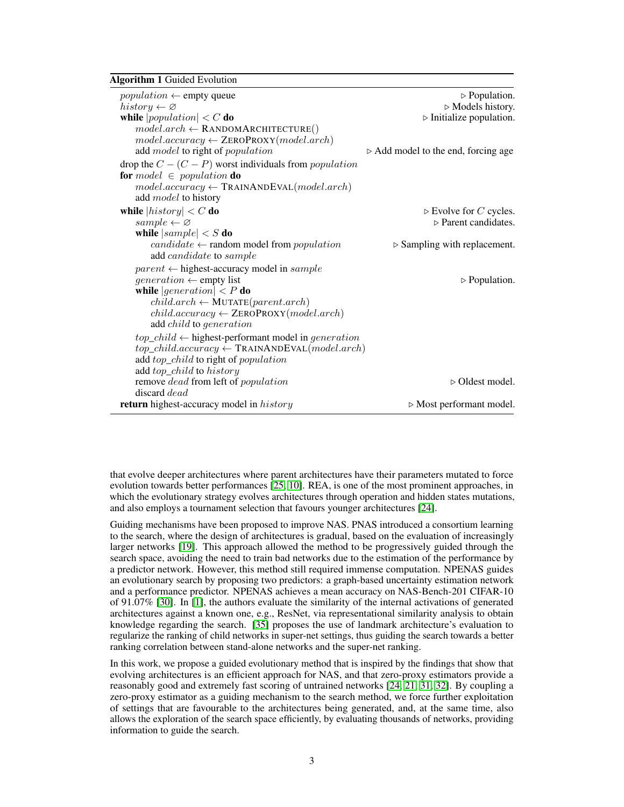<span id="page-2-0"></span>Algorithm 1 Guided Evolution

| <i>population</i> $\leftarrow$ empty queue                            | $\triangleright$ Population.                       |
|-----------------------------------------------------------------------|----------------------------------------------------|
| $history \leftarrow \varnothing$                                      | $\triangleright$ Models history.                   |
| while $ population  < C$ do                                           | $\triangleright$ Initialize population.            |
| $model. arch \leftarrow$ RANDOMARCHITECTURE()                         |                                                    |
| $model. accuracy \leftarrow \text{ZeroPROXY}(model. arch)$            |                                                    |
| add model to right of population                                      | $\triangleright$ Add model to the end, forcing age |
| drop the $C - (C - P)$ worst individuals from <i>population</i>       |                                                    |
| <b>for</b> model $\in$ population <b>do</b>                           |                                                    |
| $model. accuracy \leftarrow \text{TRAINANDEVAL}(model. arch)$         |                                                    |
| add <i>model</i> to history                                           |                                                    |
| while $\vert history \vert < C$ do                                    | $\triangleright$ Evolve for C cycles.              |
| $sample \leftarrow \varnothing$                                       | $\triangleright$ Parent candidates.                |
| while $ sample  < S$ do                                               |                                                    |
| $candidate \leftarrow$ random model from <i>population</i>            | $\triangleright$ Sampling with replacement.        |
| add <i>candidate</i> to <i>sample</i>                                 |                                                    |
| $parent \leftarrow highest\text{-}accuracy \text{ model in } sample$  |                                                    |
| <i>generation</i> $\leftarrow$ empty list                             | $\triangleright$ Population.                       |
| while $ generation  < P$ do                                           |                                                    |
| $child. arch \leftarrow \text{MUTATE}(parent. arch)$                  |                                                    |
| $child. accuracy \leftarrow \text{ZeroPROXY}(model. arch)$            |                                                    |
| add child to generation                                               |                                                    |
| $top\_child \leftarrow$ highest-performant model in <i>generation</i> |                                                    |
| $top\_child. accuracy \leftarrow \text{TRAINANDEVAL}(model. arch)$    |                                                    |
| add top_child to right of population                                  |                                                    |
| add top_child to history                                              |                                                    |
| remove <i>dead</i> from left of <i>population</i>                     | $\triangleright$ Oldest model.                     |
| discard <i>dead</i>                                                   |                                                    |
| <b>return</b> highest-accuracy model in <i>history</i>                | $\triangleright$ Most performant model.            |

that evolve deeper architectures where parent architectures have their parameters mutated to force evolution towards better performances [\[25,](#page-8-12) [10\]](#page-7-21). REA, is one of the most prominent approaches, in which the evolutionary strategy evolves architectures through operation and hidden states mutations, and also employs a tournament selection that favours younger architectures [\[24\]](#page-8-13).

Guiding mechanisms have been proposed to improve NAS. PNAS introduced a consortium learning to the search, where the design of architectures is gradual, based on the evaluation of increasingly larger networks [\[19\]](#page-7-11). This approach allowed the method to be progressively guided through the search space, avoiding the need to train bad networks due to the estimation of the performance by a predictor network. However, this method still required immense computation. NPENAS guides an evolutionary search by proposing two predictors: a graph-based uncertainty estimation network and a performance predictor. NPENAS achieves a mean accuracy on NAS-Bench-201 CIFAR-10 of 91.07% [\[30\]](#page-8-14). In [\[1\]](#page-6-0), the authors evaluate the similarity of the internal activations of generated architectures against a known one, e.g., ResNet, via representational similarity analysis to obtain knowledge regarding the search. [\[35\]](#page-8-15) proposes the use of landmark architecture's evaluation to regularize the ranking of child networks in super-net settings, thus guiding the search towards a better ranking correlation between stand-alone networks and the super-net ranking.

In this work, we propose a guided evolutionary method that is inspired by the findings that show that evolving architectures is an efficient approach for NAS, and that zero-proxy estimators provide a reasonably good and extremely fast scoring of untrained networks [\[24,](#page-8-13) [21,](#page-7-16) [31,](#page-8-6) [32\]](#page-8-2). By coupling a zero-proxy estimator as a guiding mechanism to the search method, we force further exploitation of settings that are favourable to the architectures being generated, and, at the same time, also allows the exploration of the search space efficiently, by evaluating thousands of networks, providing information to guide the search.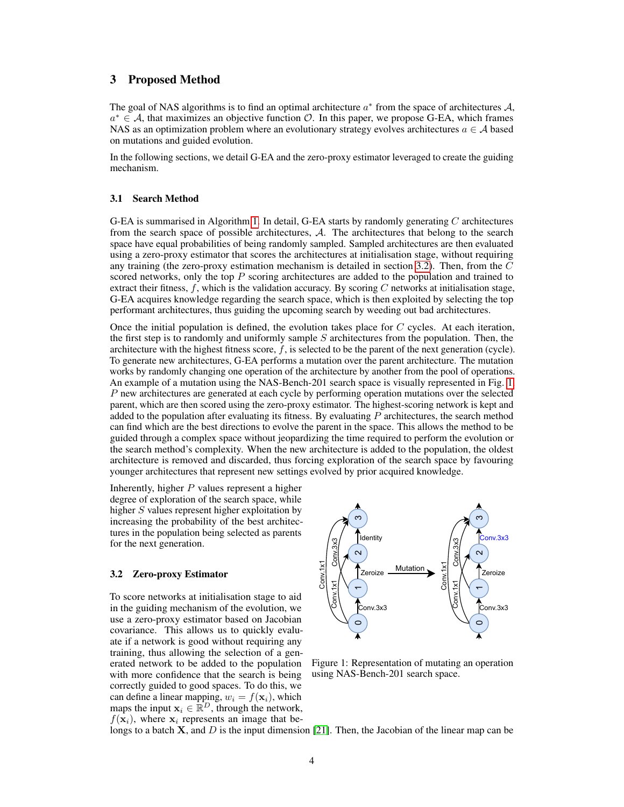## 3 Proposed Method

The goal of NAS algorithms is to find an optimal architecture  $a^*$  from the space of architectures  $A$ ,  $a^* \in A$ , that maximizes an objective function  $O$ . In this paper, we propose G-EA, which frames NAS as an optimization problem where an evolutionary strategy evolves architectures  $a \in \mathcal{A}$  based on mutations and guided evolution.

In the following sections, we detail G-EA and the zero-proxy estimator leveraged to create the guiding mechanism.

#### 3.1 Search Method

G-EA is summarised in Algorithm [1.](#page-2-0) In detail, G-EA starts by randomly generating C architectures from the search space of possible architectures, A. The architectures that belong to the search space have equal probabilities of being randomly sampled. Sampled architectures are then evaluated using a zero-proxy estimator that scores the architectures at initialisation stage, without requiring any training (the zero-proxy estimation mechanism is detailed in section [3.2\)](#page-3-0). Then, from the  $C$ scored networks, only the top  $P$  scoring architectures are added to the population and trained to extract their fitness,  $f$ , which is the validation accuracy. By scoring  $C$  networks at initialisation stage, G-EA acquires knowledge regarding the search space, which is then exploited by selecting the top performant architectures, thus guiding the upcoming search by weeding out bad architectures.

Once the initial population is defined, the evolution takes place for  $C$  cycles. At each iteration, the first step is to randomly and uniformly sample  $S$  architectures from the population. Then, the architecture with the highest fitness score,  $f$ , is selected to be the parent of the next generation (cycle). To generate new architectures, G-EA performs a mutation over the parent architecture. The mutation works by randomly changing one operation of the architecture by another from the pool of operations. An example of a mutation using the NAS-Bench-201 search space is visually represented in Fig. [1.](#page-3-1) P new architectures are generated at each cycle by performing operation mutations over the selected parent, which are then scored using the zero-proxy estimator. The highest-scoring network is kept and added to the population after evaluating its fitness. By evaluating  $P$  architectures, the search method can find which are the best directions to evolve the parent in the space. This allows the method to be guided through a complex space without jeopardizing the time required to perform the evolution or the search method's complexity. When the new architecture is added to the population, the oldest architecture is removed and discarded, thus forcing exploration of the search space by favouring younger architectures that represent new settings evolved by prior acquired knowledge.

Inherently, higher  $P$  values represent a higher degree of exploration of the search space, while higher S values represent higher exploitation by increasing the probability of the best architectures in the population being selected as parents for the next generation.

### <span id="page-3-0"></span>3.2 Zero-proxy Estimator

To score networks at initialisation stage to aid in the guiding mechanism of the evolution, we use a zero-proxy estimator based on Jacobian covariance. This allows us to quickly evaluate if a network is good without requiring any training, thus allowing the selection of a generated network to be added to the population with more confidence that the search is being correctly guided to good spaces. To do this, we can define a linear mapping,  $w_i = f(\mathbf{x}_i)$ , which maps the input  $x_i \in \mathbb{R}^D$ , through the network,  $f(\mathbf{x}_i)$ , where  $\mathbf{x}_i$  represents an image that be-

<span id="page-3-1"></span>

Figure 1: Representation of mutating an operation using NAS-Bench-201 search space.

longs to a batch  $X$ , and  $D$  is the input dimension [\[21\]](#page-7-16). Then, the Jacobian of the linear map can be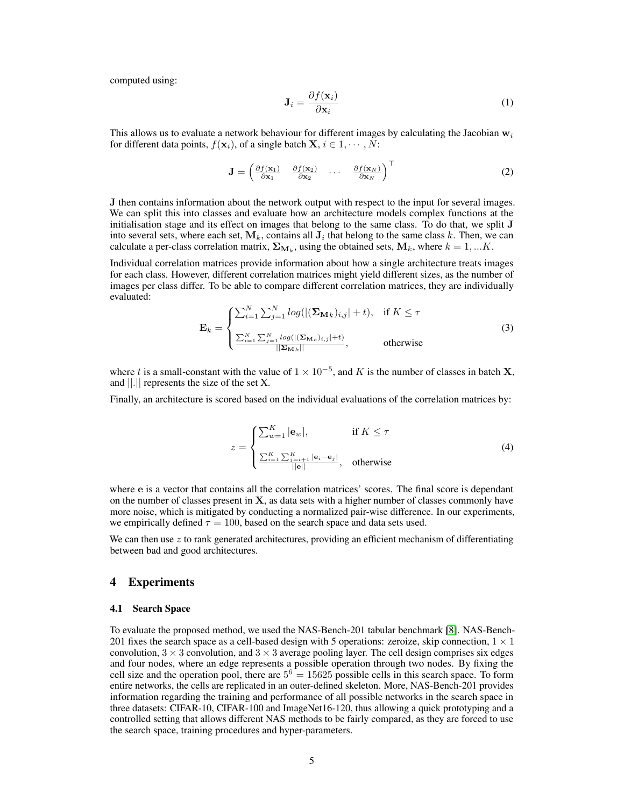computed using:

$$
\mathbf{J}_i = \frac{\partial f(\mathbf{x}_i)}{\partial \mathbf{x}_i} \tag{1}
$$

This allows us to evaluate a network behaviour for different images by calculating the Jacobian  $w_i$ for different data points,  $f(\mathbf{x}_i)$ , of a single batch  $\mathbf{X}, i \in 1, \cdots, N$ :

$$
\mathbf{J} = \begin{pmatrix} \frac{\partial f(\mathbf{x}_1)}{\partial \mathbf{x}_1} & \frac{\partial f(\mathbf{x}_2)}{\partial \mathbf{x}_2} & \cdots & \frac{\partial f(\mathbf{x}_N)}{\partial \mathbf{x}_N} \end{pmatrix}^\top
$$
(2)

J then contains information about the network output with respect to the input for several images. We can split this into classes and evaluate how an architecture models complex functions at the initialisation stage and its effect on images that belong to the same class. To do that, we split J into several sets, where each set,  $M_k$ , contains all  $J_i$  that belong to the same class k. Then, we can calculate a per-class correlation matrix,  $\Sigma_{\mathbf{M}_k}$ , using the obtained sets,  $\mathbf{M}_k$ , where  $k = 1,...K$ .

Individual correlation matrices provide information about how a single architecture treats images for each class. However, different correlation matrices might yield different sizes, as the number of images per class differ. To be able to compare different correlation matrices, they are individually evaluated:

$$
\mathbf{E}_{k} = \begin{cases} \sum_{i=1}^{N} \sum_{j=1}^{N} log(|(\mathbf{\Sigma}_{\mathbf{M}k})_{i,j}| + t), & \text{if } K \leq \tau \\ \sum_{i=1}^{N} \sum_{j=1}^{N} log(|(\mathbf{\Sigma}_{\mathbf{M}_{c}})_{i,j}| + t)} | \sum_{i=1}^{N} log(|(\mathbf{\Sigma}_{\mathbf{M}k})| + t)} | \end{cases}
$$
(3)

where t is a small-constant with the value of  $1 \times 10^{-5}$ , and K is the number of classes in batch **X**, and ||.|| represents the size of the set X.

Finally, an architecture is scored based on the individual evaluations of the correlation matrices by:

$$
z = \begin{cases} \sum_{w=1}^{K} |\mathbf{e}_w|, & \text{if } K \leq \tau \\ \frac{\sum_{i=1}^{K} \sum_{j=i+1}^{K} |\mathbf{e}_i - \mathbf{e}_j|}{||\mathbf{e}||}, & \text{otherwise} \end{cases}
$$
(4)

where e is a vector that contains all the correlation matrices' scores. The final score is dependant on the number of classes present in  $X$ , as data sets with a higher number of classes commonly have more noise, which is mitigated by conducting a normalized pair-wise difference. In our experiments, we empirically defined  $\tau = 100$ , based on the search space and data sets used.

We can then use  $z$  to rank generated architectures, providing an efficient mechanism of differentiating between bad and good architectures.

## 4 Experiments

#### 4.1 Search Space

To evaluate the proposed method, we used the NAS-Bench-201 tabular benchmark [\[8\]](#page-7-15). NAS-Bench-201 fixes the search space as a cell-based design with 5 operations: zeroize, skip connection,  $1 \times 1$ convolution,  $3 \times 3$  convolution, and  $3 \times 3$  average pooling layer. The cell design comprises six edges and four nodes, where an edge represents a possible operation through two nodes. By fixing the cell size and the operation pool, there are  $5^6 = 15625$  possible cells in this search space. To form entire networks, the cells are replicated in an outer-defined skeleton. More, NAS-Bench-201 provides information regarding the training and performance of all possible networks in the search space in three datasets: CIFAR-10, CIFAR-100 and ImageNet16-120, thus allowing a quick prototyping and a controlled setting that allows different NAS methods to be fairly compared, as they are forced to use the search space, training procedures and hyper-parameters.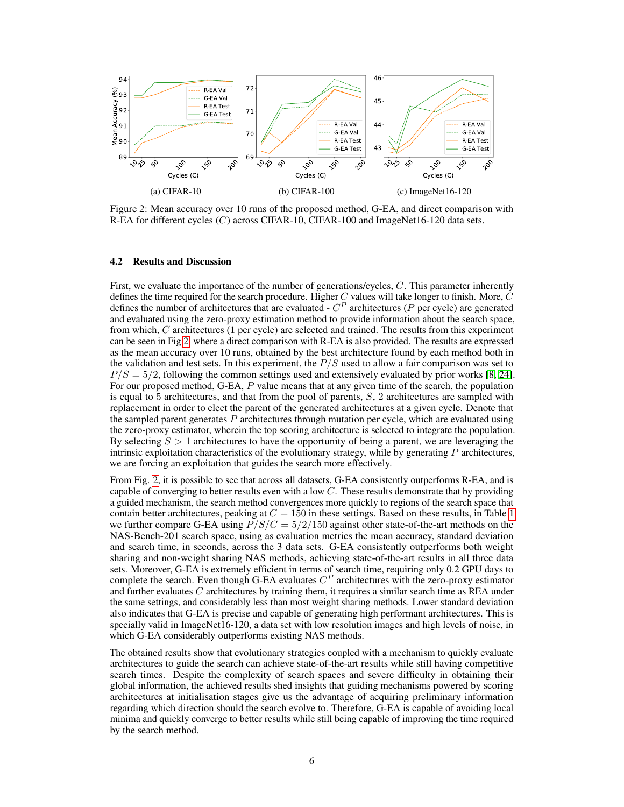<span id="page-5-0"></span>

Figure 2: Mean accuracy over 10 runs of the proposed method, G-EA, and direct comparison with R-EA for different cycles  $(C)$  across CIFAR-10, CIFAR-100 and ImageNet16-120 data sets.

#### 4.2 Results and Discussion

First, we evaluate the importance of the number of generations/cycles, C. This parameter inherently defines the time required for the search procedure. Higher  $C$  values will take longer to finish. More,  $C$ defines the number of architectures that are evaluated -  $C^P$  architectures (P per cycle) are generated and evaluated using the zero-proxy estimation method to provide information about the search space, from which, C architectures (1 per cycle) are selected and trained. The results from this experiment can be seen in Fig [2,](#page-5-0) where a direct comparison with R-EA is also provided. The results are expressed as the mean accuracy over 10 runs, obtained by the best architecture found by each method both in the validation and test sets. In this experiment, the  $P/S$  used to allow a fair comparison was set to  $P/S = 5/2$ , following the common settings used and extensively evaluated by prior works [\[8,](#page-7-15) [24\]](#page-8-13). For our proposed method, G-EA, P value means that at any given time of the search, the population is equal to 5 architectures, and that from the pool of parents,  $S$ , 2 architectures are sampled with replacement in order to elect the parent of the generated architectures at a given cycle. Denote that the sampled parent generates  $P$  architectures through mutation per cycle, which are evaluated using the zero-proxy estimator, wherein the top scoring architecture is selected to integrate the population. By selecting  $S > 1$  architectures to have the opportunity of being a parent, we are leveraging the intrinsic exploitation characteristics of the evolutionary strategy, while by generating  $P$  architectures, we are forcing an exploitation that guides the search more effectively.

From Fig. [2,](#page-5-0) it is possible to see that across all datasets, G-EA consistently outperforms R-EA, and is capable of converging to better results even with a low  $C$ . These results demonstrate that by providing a guided mechanism, the search method convergences more quickly to regions of the search space that contain better architectures, peaking at  $C = 150$  $C = 150$  $C = 150$  in these settings. Based on these results, in Table 1 we further compare G-EA using  $P/S/C = 5/2/150$  against other state-of-the-art methods on the NAS-Bench-201 search space, using as evaluation metrics the mean accuracy, standard deviation and search time, in seconds, across the 3 data sets. G-EA consistently outperforms both weight sharing and non-weight sharing NAS methods, achieving state-of-the-art results in all three data sets. Moreover, G-EA is extremely efficient in terms of search time, requiring only 0.2 GPU days to complete the search. Even though G-EA evaluates  $C<sup>P</sup>$  architectures with the zero-proxy estimator and further evaluates  $C$  architectures by training them, it requires a similar search time as REA under the same settings, and considerably less than most weight sharing methods. Lower standard deviation also indicates that G-EA is precise and capable of generating high performant architectures. This is specially valid in ImageNet16-120, a data set with low resolution images and high levels of noise, in which G-EA considerably outperforms existing NAS methods.

The obtained results show that evolutionary strategies coupled with a mechanism to quickly evaluate architectures to guide the search can achieve state-of-the-art results while still having competitive search times. Despite the complexity of search spaces and severe difficulty in obtaining their global information, the achieved results shed insights that guiding mechanisms powered by scoring architectures at initialisation stages give us the advantage of acquiring preliminary information regarding which direction should the search evolve to. Therefore, G-EA is capable of avoiding local minima and quickly converge to better results while still being capable of improving the time required by the search method.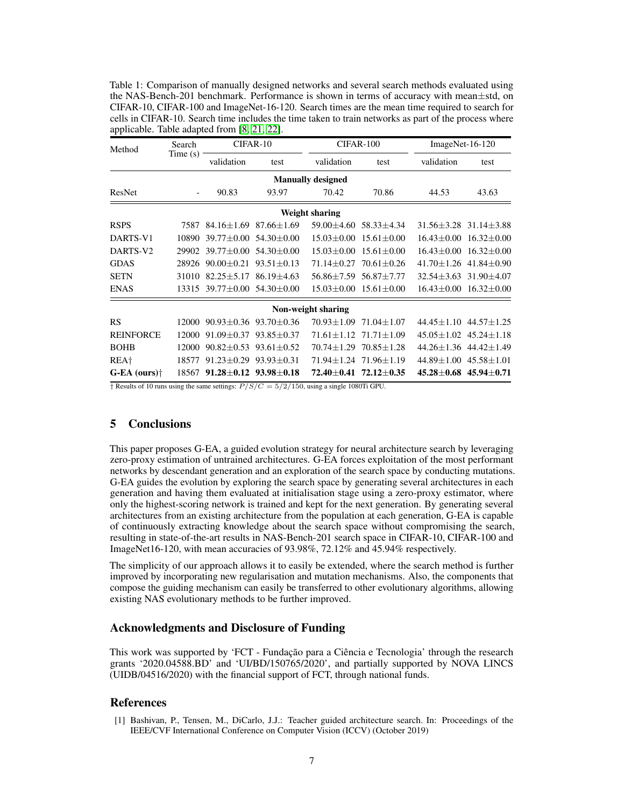<span id="page-6-1"></span>Table 1: Comparison of manually designed networks and several search methods evaluated using the NAS-Bench-201 benchmark. Performance is shown in terms of accuracy with mean±std, on CIFAR-10, CIFAR-100 and ImageNet-16-120. Search times are the mean time required to search for cells in CIFAR-10. Search time includes the time taken to train networks as part of the process where applicable. Table adapted from [\[8,](#page-7-15) [21,](#page-7-16) [22\]](#page-7-17).

| Method                   | Search<br>Time(s) | CIFAR-10                                                  |                | CIFAR-100        |                                                            | ImageNet-16-120                   |                                   |  |  |
|--------------------------|-------------------|-----------------------------------------------------------|----------------|------------------|------------------------------------------------------------|-----------------------------------|-----------------------------------|--|--|
|                          |                   | validation                                                | test           | validation       | test                                                       | validation                        | test                              |  |  |
| <b>Manually designed</b> |                   |                                                           |                |                  |                                                            |                                   |                                   |  |  |
| ResNet                   |                   | 90.83                                                     | 93.97          | 70.42            | 70.86                                                      | 44.53                             | 43.63                             |  |  |
| Weight sharing           |                   |                                                           |                |                  |                                                            |                                   |                                   |  |  |
| <b>RSPS</b>              | 7587              | $84.16 \pm 1.69$ $87.66 \pm 1.69$                         |                | $59.00 + 4.60$   | $58.33 + 4.34$                                             |                                   | $31.56 \pm 3.28$ $31.14 \pm 3.88$ |  |  |
| DARTS-V1                 | 10890             | $39.77 \pm 0.00$ 54.30 $\pm 0.00$                         |                | $15.03 \pm 0.00$ | $15.61 \pm 0.00$                                           | $16.43 \pm 0.00$                  | $16.32 \pm 0.00$                  |  |  |
| DARTS-V2                 | 29902             | $39.77 + 0.00$ $54.30 + 0.00$                             |                | $15.03 + 0.00$   | $15.61 + 0.00$                                             | $16.43 + 0.00$                    | $16.32 \pm 0.00$                  |  |  |
| <b>GDAS</b>              | 28926             | $90.00+0.21$                                              | $93.51 + 0.13$ | $71.14 + 0.27$   | $70.61 + 0.26$                                             |                                   | $41.70 + 1.26$ $41.84 + 0.90$     |  |  |
| <b>SETN</b>              | 31010             | $82.25 + 5.17$                                            | $86.19 + 4.63$ | $56.86 + 7.59$   | 56.87+7.77                                                 |                                   | $32.54 \pm 3.63$ $31.90 \pm 4.07$ |  |  |
| <b>ENAS</b>              | 13315             | $39.77 \pm 0.00$ 54.30 $\pm$ 0.00                         |                | $15.03 \pm 0.00$ | $15.61 \pm 0.00$                                           | $16.43 \pm 0.00$                  | $16.32 \pm 0.00$                  |  |  |
| Non-weight sharing       |                   |                                                           |                |                  |                                                            |                                   |                                   |  |  |
| <b>RS</b>                | 12000             | $90.93 \pm 0.36$ $93.70 \pm 0.36$                         |                | $70.93 + 1.09$   | $71.04 + 1.07$                                             |                                   | $44.45 \pm 1.10$ $44.57 \pm 1.25$ |  |  |
| <b>REINFORCE</b>         | 12000             | $91.09 + 0.37$                                            | $93.85 + 0.37$ |                  | $71.61 + 1.12$ $71.71 + 1.09$                              |                                   | $45.05 \pm 1.02$ $45.24 \pm 1.18$ |  |  |
| <b>BOHB</b>              | 12000             | $90.82 + 0.53$ $93.61 + 0.52$                             |                |                  | $70.74 + 1.29$ $70.85 + 1.28$                              |                                   | $44.26 + 1.36$ $44.42 + 1.49$     |  |  |
| REA <sup>+</sup>         | 18577             | $91.23 \pm 0.29$ $93.93 \pm 0.31$                         |                |                  | $71.94 \pm 1.24$ $71.96 \pm 1.19$                          | $44.89 \pm 1.00$ $45.58 \pm 1.01$ |                                   |  |  |
| $G-EA$ (ours) $\dagger$  | 18567             | $91.28 \pm 0.12$ $93.98 \pm 0.18$<br>$\sim$ $\sim$ $\sim$ | $-1 - 1 - 1$   |                  | $72.40 \pm 0.41$ $72.12 \pm 0.35$<br><b>A CONSTRUCTION</b> |                                   | $45.28 \pm 0.68$ $45.94 \pm 0.71$ |  |  |

† Results of 10 runs using the same settings:  $P/S/C = 5/2/150$ , using a single 1080Ti GPU.

# 5 Conclusions

This paper proposes G-EA, a guided evolution strategy for neural architecture search by leveraging zero-proxy estimation of untrained architectures. G-EA forces exploitation of the most performant networks by descendant generation and an exploration of the search space by conducting mutations. G-EA guides the evolution by exploring the search space by generating several architectures in each generation and having them evaluated at initialisation stage using a zero-proxy estimator, where only the highest-scoring network is trained and kept for the next generation. By generating several architectures from an existing architecture from the population at each generation, G-EA is capable of continuously extracting knowledge about the search space without compromising the search, resulting in state-of-the-art results in NAS-Bench-201 search space in CIFAR-10, CIFAR-100 and ImageNet16-120, with mean accuracies of 93.98%, 72.12% and 45.94% respectively.

The simplicity of our approach allows it to easily be extended, where the search method is further improved by incorporating new regularisation and mutation mechanisms. Also, the components that compose the guiding mechanism can easily be transferred to other evolutionary algorithms, allowing existing NAS evolutionary methods to be further improved.

# Acknowledgments and Disclosure of Funding

This work was supported by 'FCT - Fundação para a Ciência e Tecnologia' through the research grants '2020.04588.BD' and 'UI/BD/150765/2020', and partially supported by NOVA LINCS (UIDB/04516/2020) with the financial support of FCT, through national funds.

## References

<span id="page-6-0"></span>[1] Bashivan, P., Tensen, M., DiCarlo, J.J.: Teacher guided architecture search. In: Proceedings of the IEEE/CVF International Conference on Computer Vision (ICCV) (October 2019)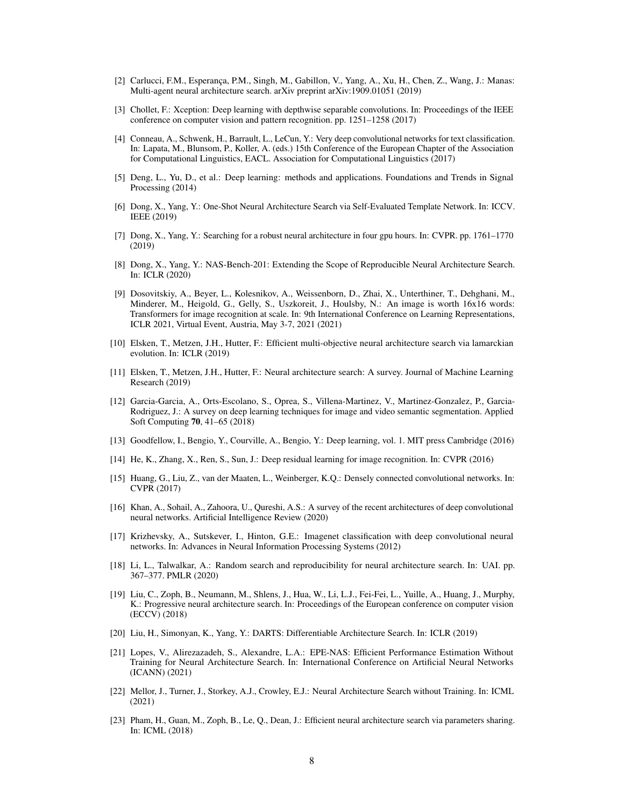- <span id="page-7-12"></span>[2] Carlucci, F.M., Esperança, P.M., Singh, M., Gabillon, V., Yang, A., Xu, H., Chen, Z., Wang, J.: Manas: Multi-agent neural architecture search. arXiv preprint arXiv:1909.01051 (2019)
- <span id="page-7-8"></span>[3] Chollet, F.: Xception: Deep learning with depthwise separable convolutions. In: Proceedings of the IEEE conference on computer vision and pattern recognition. pp. 1251–1258 (2017)
- <span id="page-7-3"></span>[4] Conneau, A., Schwenk, H., Barrault, L., LeCun, Y.: Very deep convolutional networks for text classification. In: Lapata, M., Blunsom, P., Koller, A. (eds.) 15th Conference of the European Chapter of the Association for Computational Linguistics, EACL. Association for Computational Linguistics (2017)
- <span id="page-7-0"></span>[5] Deng, L., Yu, D., et al.: Deep learning: methods and applications. Foundations and Trends in Signal Processing (2014)
- <span id="page-7-20"></span>[6] Dong, X., Yang, Y.: One-Shot Neural Architecture Search via Self-Evaluated Template Network. In: ICCV. IEEE (2019)
- <span id="page-7-18"></span>[7] Dong, X., Yang, Y.: Searching for a robust neural architecture in four gpu hours. In: CVPR. pp. 1761–1770 (2019)
- <span id="page-7-15"></span>[8] Dong, X., Yang, Y.: NAS-Bench-201: Extending the Scope of Reproducible Neural Architecture Search. In: ICLR (2020)
- <span id="page-7-9"></span>[9] Dosovitskiy, A., Beyer, L., Kolesnikov, A., Weissenborn, D., Zhai, X., Unterthiner, T., Dehghani, M., Minderer, M., Heigold, G., Gelly, S., Uszkoreit, J., Houlsby, N.: An image is worth 16x16 words: Transformers for image recognition at scale. In: 9th International Conference on Learning Representations, ICLR 2021, Virtual Event, Austria, May 3-7, 2021 (2021)
- <span id="page-7-21"></span>[10] Elsken, T., Metzen, J.H., Hutter, F.: Efficient multi-objective neural architecture search via lamarckian evolution. In: ICLR (2019)
- <span id="page-7-10"></span>[11] Elsken, T., Metzen, J.H., Hutter, F.: Neural architecture search: A survey. Journal of Machine Learning Research (2019)
- <span id="page-7-2"></span>[12] Garcia-Garcia, A., Orts-Escolano, S., Oprea, S., Villena-Martinez, V., Martinez-Gonzalez, P., Garcia-Rodriguez, J.: A survey on deep learning techniques for image and video semantic segmentation. Applied Soft Computing 70, 41–65 (2018)
- <span id="page-7-1"></span>[13] Goodfellow, I., Bengio, Y., Courville, A., Bengio, Y.: Deep learning, vol. 1. MIT press Cambridge (2016)
- <span id="page-7-6"></span>[14] He, K., Zhang, X., Ren, S., Sun, J.: Deep residual learning for image recognition. In: CVPR (2016)
- <span id="page-7-7"></span>[15] Huang, G., Liu, Z., van der Maaten, L., Weinberger, K.Q.: Densely connected convolutional networks. In: CVPR (2017)
- <span id="page-7-4"></span>[16] Khan, A., Sohail, A., Zahoora, U., Qureshi, A.S.: A survey of the recent architectures of deep convolutional neural networks. Artificial Intelligence Review (2020)
- <span id="page-7-5"></span>[17] Krizhevsky, A., Sutskever, I., Hinton, G.E.: Imagenet classification with deep convolutional neural networks. In: Advances in Neural Information Processing Systems (2012)
- <span id="page-7-19"></span>[18] Li, L., Talwalkar, A.: Random search and reproducibility for neural architecture search. In: UAI. pp. 367–377. PMLR (2020)
- <span id="page-7-11"></span>[19] Liu, C., Zoph, B., Neumann, M., Shlens, J., Hua, W., Li, L.J., Fei-Fei, L., Yuille, A., Huang, J., Murphy, K.: Progressive neural architecture search. In: Proceedings of the European conference on computer vision (ECCV) (2018)
- <span id="page-7-13"></span>[20] Liu, H., Simonyan, K., Yang, Y.: DARTS: Differentiable Architecture Search. In: ICLR (2019)
- <span id="page-7-16"></span>[21] Lopes, V., Alirezazadeh, S., Alexandre, L.A.: EPE-NAS: Efficient Performance Estimation Without Training for Neural Architecture Search. In: International Conference on Artificial Neural Networks (ICANN) (2021)
- <span id="page-7-17"></span>[22] Mellor, J., Turner, J., Storkey, A.J., Crowley, E.J.: Neural Architecture Search without Training. In: ICML (2021)
- <span id="page-7-14"></span>[23] Pham, H., Guan, M., Zoph, B., Le, Q., Dean, J.: Efficient neural architecture search via parameters sharing. In: ICML (2018)